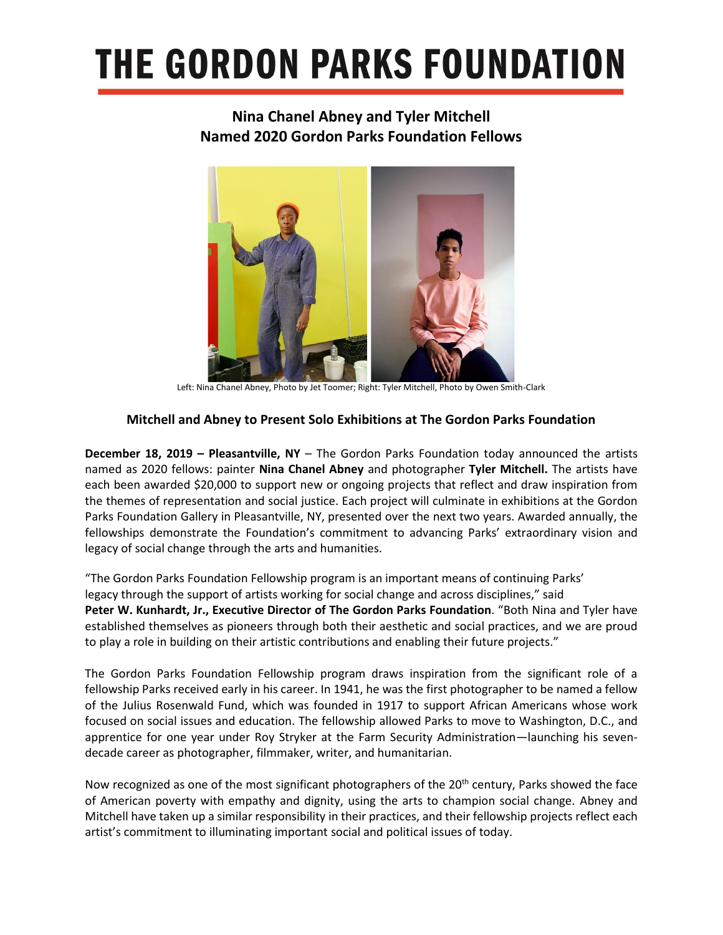### **THE GORDON PARKS FOUNDATION**

### **Nina Chanel Abney and Tyler Mitchell Named 2020 Gordon Parks Foundation Fellows**



Left: Nina Chanel Abney, Photo by Jet Toomer; Right: Tyler Mitchell, Photo by Owen Smith-Clark

#### **Mitchell and Abney to Present Solo Exhibitions at The Gordon Parks Foundation**

**December 18, 2019 – Pleasantville, NY** – The Gordon Parks Foundation today announced the artists named as 2020 fellows: painter **Nina Chanel Abney** and photographer **Tyler Mitchell.** The artists have each been awarded \$20,000 to support new or ongoing projects that reflect and draw inspiration from the themes of representation and social justice. Each project will culminate in exhibitions at the Gordon Parks Foundation Gallery in Pleasantville, NY, presented over the next two years. Awarded annually, the fellowships demonstrate the Foundation's commitment to advancing Parks' extraordinary vision and legacy of social change through the arts and humanities.

"The Gordon Parks Foundation Fellowship program is an important means of continuing Parks' legacy through the support of artists working for social change and across disciplines," said **Peter W. Kunhardt, Jr., Executive Director of The Gordon Parks Foundation**. "Both Nina and Tyler have established themselves as pioneers through both their aesthetic and social practices, and we are proud to play a role in building on their artistic contributions and enabling their future projects."

The Gordon Parks Foundation Fellowship program draws inspiration from the significant role of a fellowship Parks received early in his career. In 1941, he was the first photographer to be named a fellow of the Julius Rosenwald Fund, which was founded in 1917 to support African Americans whose work focused on social issues and education. The fellowship allowed Parks to move to Washington, D.C., and apprentice for one year under Roy Stryker at the Farm Security Administration—launching his sevendecade career as photographer, filmmaker, writer, and humanitarian.

Now recognized as one of the most significant photographers of the 20<sup>th</sup> century, Parks showed the face of American poverty with empathy and dignity, using the arts to champion social change. Abney and Mitchell have taken up a similar responsibility in their practices, and their fellowship projects reflect each artist's commitment to illuminating important social and political issues of today.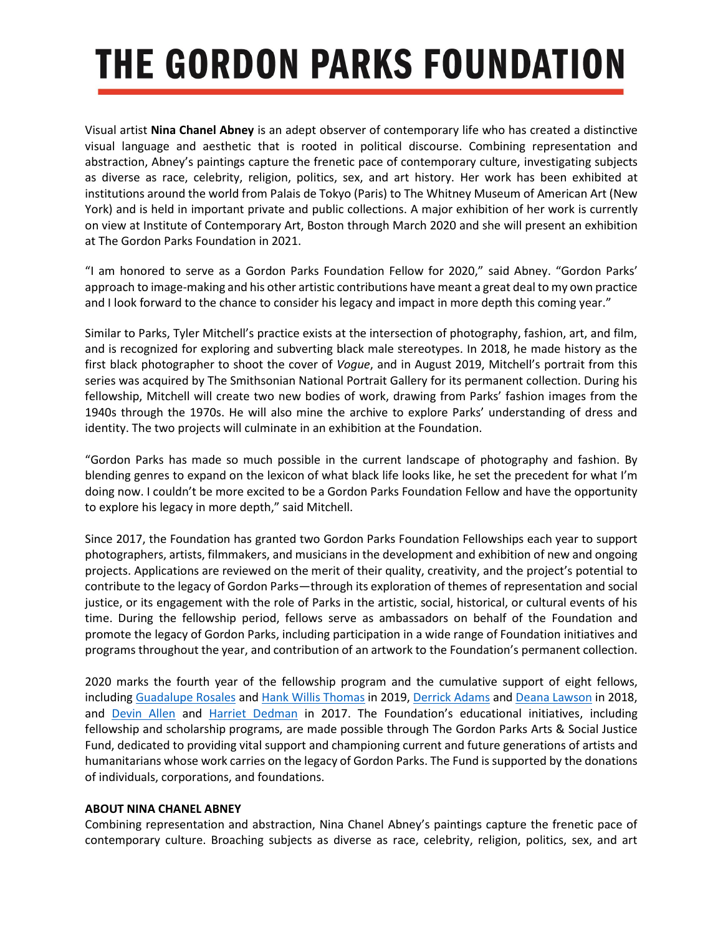## **THE GORDON PARKS FOUNDATION**

Visual artist **Nina Chanel Abney** is an adept observer of contemporary life who has created a distinctive visual language and aesthetic that is rooted in political discourse. Combining representation and abstraction, Abney's paintings capture the frenetic pace of contemporary culture, investigating subjects as diverse as race, celebrity, religion, politics, sex, and art history. Her work has been exhibited at institutions around the world from Palais de Tokyo (Paris) to The Whitney Museum of American Art (New York) and is held in important private and public collections. A major exhibition of her work is currently on view at Institute of Contemporary Art, Boston through March 2020 and she will present an exhibition at The Gordon Parks Foundation in 2021.

"I am honored to serve as a Gordon Parks Foundation Fellow for 2020," said Abney. "Gordon Parks' approach to image-making and his other artistic contributions have meant a great deal to my own practice and I look forward to the chance to consider his legacy and impact in more depth this coming year."

Similar to Parks, Tyler Mitchell's practice exists at the intersection of photography, fashion, art, and film, and is recognized for exploring and subverting black male stereotypes. In 2018, he made history as the first black photographer to shoot the cover of *Vogue*, and in August 2019, Mitchell's portrait from this series was acquired by The Smithsonian National Portrait Gallery for its permanent collection. During his fellowship, Mitchell will create two new bodies of work, drawing from Parks' fashion images from the 1940s through the 1970s. He will also mine the archive to explore Parks' understanding of dress and identity. The two projects will culminate in an exhibition at the Foundation.

"Gordon Parks has made so much possible in the current landscape of photography and fashion. By blending genres to expand on the lexicon of what black life looks like, he set the precedent for what I'm doing now. I couldn't be more excited to be a Gordon Parks Foundation Fellow and have the opportunity to explore his legacy in more depth," said Mitchell.

Since 2017, the Foundation has granted two Gordon Parks Foundation Fellowships each year to support photographers, artists, filmmakers, and musicians in the development and exhibition of new and ongoing projects. Applications are reviewed on the merit of their quality, creativity, and the project's potential to contribute to the legacy of Gordon Parks—through its exploration of themes of representation and social justice, or its engagement with the role of Parks in the artistic, social, historical, or cultural events of his time. During the fellowship period, fellows serve as ambassadors on behalf of the Foundation and promote the legacy of Gordon Parks, including participation in a wide range of Foundation initiatives and programs throughout the year, and contribution of an artwork to the Foundation's permanent collection.

2020 marks the fourth year of the fellowship program and the cumulative support of eight fellows, including [Guadalupe Rosales](http://www.gordonparksfoundation.org/exhibitions/must-ve-been-a-wake-dream-guadalupe-rosales) an[d Hank Willis Thomas](http://www.gordonparksfoundation.org/exhibitions/exodusters-hank-willis-thomas) in 2019, [Derrick Adams](http://www.gordonparksfoundation.org/education/fellowship/derrick-adams) and [Deana Lawson](http://www.gordonparksfoundation.org/education/fellowship/deana-lawson) in 2018, and [Devin Allen](http://www.gordonparksfoundation.org/education/fellowship/devin-allen) and [Harriet Dedman](http://www.gordonparksfoundation.org/education/fellowship/harriet-dedman) in 2017. The Foundation's educational initiatives, including fellowship and scholarship programs, are made possible through The Gordon Parks Arts & Social Justice Fund, dedicated to providing vital support and championing current and future generations of artists and humanitarians whose work carries on the legacy of Gordon Parks. The Fund is supported by the donations of individuals, corporations, and foundations.

#### **ABOUT NINA CHANEL ABNEY**

Combining representation and abstraction, Nina Chanel Abney's paintings capture the frenetic pace of contemporary culture. Broaching subjects as diverse as race, celebrity, religion, politics, sex, and art